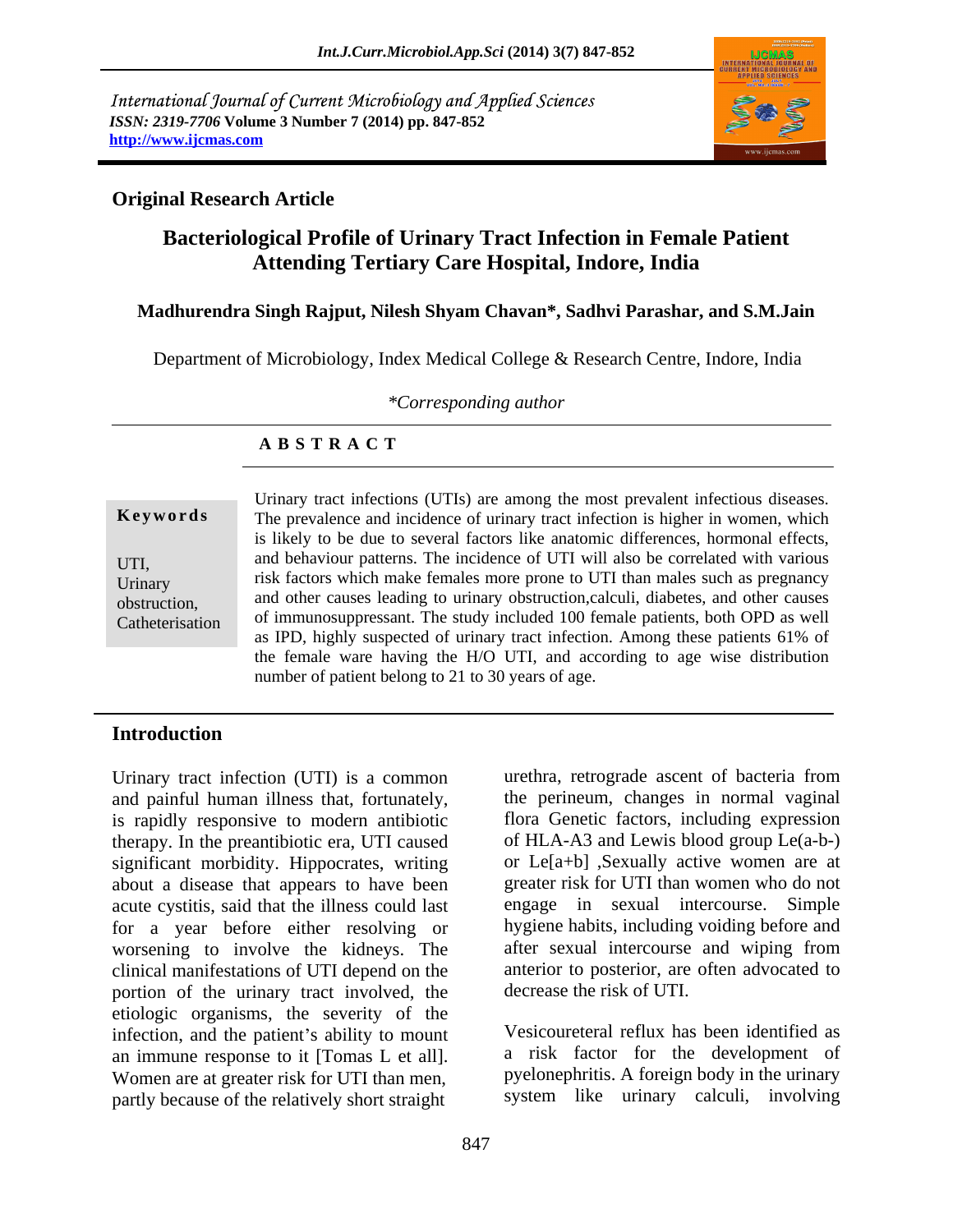International Journal of Current Microbiology and Applied Sciences *ISSN: 2319-7706* **Volume 3 Number 7 (2014) pp. 847-852 http://www.ijcmas.com**



# **Original Research Article**

# **Bacteriological Profile of Urinary Tract Infection in Female Patient Attending Tertiary Care Hospital, Indore, India**

## **Madhurendra Singh Rajput, Nilesh Shyam Chavan\*, Sadhvi Parashar, and S.M.Jain**

Department of Microbiology, Index Medical College & Research Centre, Indore, India

*\*Corresponding author*

## **A B S T R A C T**

**Keywords** The prevalence and incidence of urinary tract infection is higher in women, which UTI, and behaviour patterns. The incidence of UTI will also be correlated with various Urinary risk factors which make females more prone to UTI than males such as pregnancy obstruction, and other causes leading to urinary obstruction,calculi, diabetes, and other causes Catheterisation of immunosuppressant. The study included 100 female patients, both OPD as well Urinary tract infections (UTIs) are among the most prevalent infectious diseases. is likely to be due to several factors like anatomic differences, hormonal effects, as IPD, highly suspected of urinary tract infection. Among these patients 61% of the female ware having the H/O UTI, and according to age wise distribution number of patient belong to 21 to 30 years of age.

# **Introduction**

Urinary tract infection (UTI) is a common and painful human illness that, fortunately, is rapidly responsive to modern antibiotic therapy. In the preantibiotic era, UTI caused significant morbidity. Hippocrates, writing about a disease that appears to have been acute cystitis, said that the illness could last for a year before either resolving or bygiene habits, including voiding before and worsening to involve the kidneys. The after sexual intercourse and wiping from worsening to involve the kidneys. The clinical manifestations of UTI depend on the portion of the urinary tract involved, the etiologic organisms, the severity of the infection, and the patient's ability to mount an immune response to it [Tomas L et all]. <br>Women are at greater risk for UTI than men, pyelonephritis. A foreign body in the urinary partly because of the relatively short straight

urethra, retrograde ascent of bacteria from the perineum, changes in normal vaginal flora Genetic factors, including expression of HLA-A3 and Lewis blood group Le(a-b-) or Le[a+b] ,Sexually active women are at greater risk for UTI than women who do not engage in sexual intercourse. Simple hygiene habits, including voiding before and after sexual intercourse and wiping from anterior to posterior, are often advocated to decrease the risk of UTI.

Vesicoureteral reflux has been identified as a risk factor for the development of pyelonephritis. A foreign body in the urinary system like urinary calculi, involving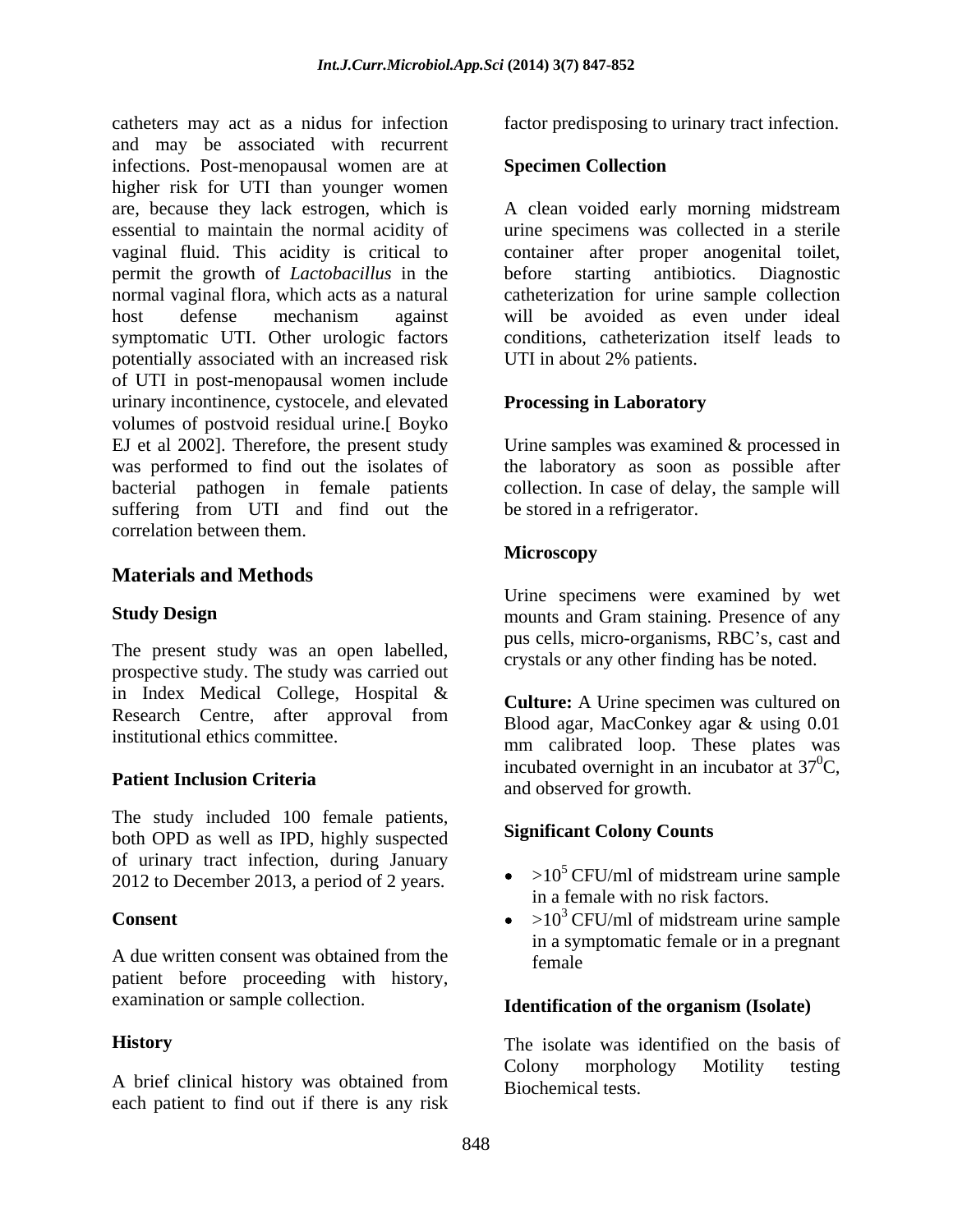catheters may act as a nidus for infection factor predisposing to urinary tract infection. and may be associated with recurrent infections. Post-menopausal women are at higher risk for UTI than younger women are, because they lack estrogen, which is A clean voided early morning midstream essential to maintain the normal acidity of urine specimens was collected in a sterile vaginal fluid. This acidity is critical to container after proper anogenital toilet, permit the growth of *Lactobacillus* in the before starting antibiotics. Diagnostic normal vaginal flora, which acts as a natural catheterization for urine sample collection host defense mechanism against symptomatic UTI. Other urologic factors potentially associated with an increased risk of UTI in post-menopausal women include urinary incontinence, cystocele, and elevated volumes of postvoid residual urine.[ Boyko EJ et al 2002]. Therefore, the present study Urine samples was examined & processed in was performed to find out the isolates of the laboratory as soon as possible after bacterial pathogen in female patients collection. In case of delay, the sample will suffering from UTI and find out the correlation between them.

## **Materials and Methods**

The present study was an open labelled, prospective study. The study was carried out in Index Medical College, Hospital & Research Centre, after approval from

The study included 100 female patients, both OPD as well as IPD, highly suspected of urinary tract infection, during January<br>2012 to December 2013, a period of 2 years  $\bullet$  >10<sup>5</sup> CFU/ml of midstream urine sample 2012 to December 2013, a period of 2 years.

A due written consent was obtained from the  $f_{\text{female}}$ patient before proceeding with history, examination or sample collection.

each patient to find out if there is any risk

### **Specimen Collection**

will be avoided as even under ideal conditions, catheterization itself leads to UTI in about 2% patients.

### **Processing in Laboratory**

be stored in a refrigerator.

### **Microscopy**

**Study Design** mounts and Gram staining. Presence of any Urine specimens were examined by wet pus cells, micro-organisms, RBC's, cast and crystals or any other finding has be noted.

institutional ethics committee.<br>
mm calibrated loop. These plates was **Patient Inclusion Criteria** and observed for growth **Culture:** A Urine specimen was cultured on Blood agar, MacConkey agar & using 0.01 incubated overnight in an incubator at  $37^0C$ ,  ${}^{0}C,$ and observed for growth.

### **Significant Colony Counts**

- $>10^5$  CFU/ml of midstream urine sample in a female with no risk factors.
- **Consent**  $\bullet$  >10<sup>3</sup> CFU/ml of midstream urine sample  $>10^3$  CFU/ml of midstream urine sample in a symptomatic female or in a pregnant female

### **Identification of the organism (Isolate)**

**History** The isolate was identified on the basis of A brief clinical history was obtained from <br>Riochamical tests Colony morphology Motility testing Biochemical tests.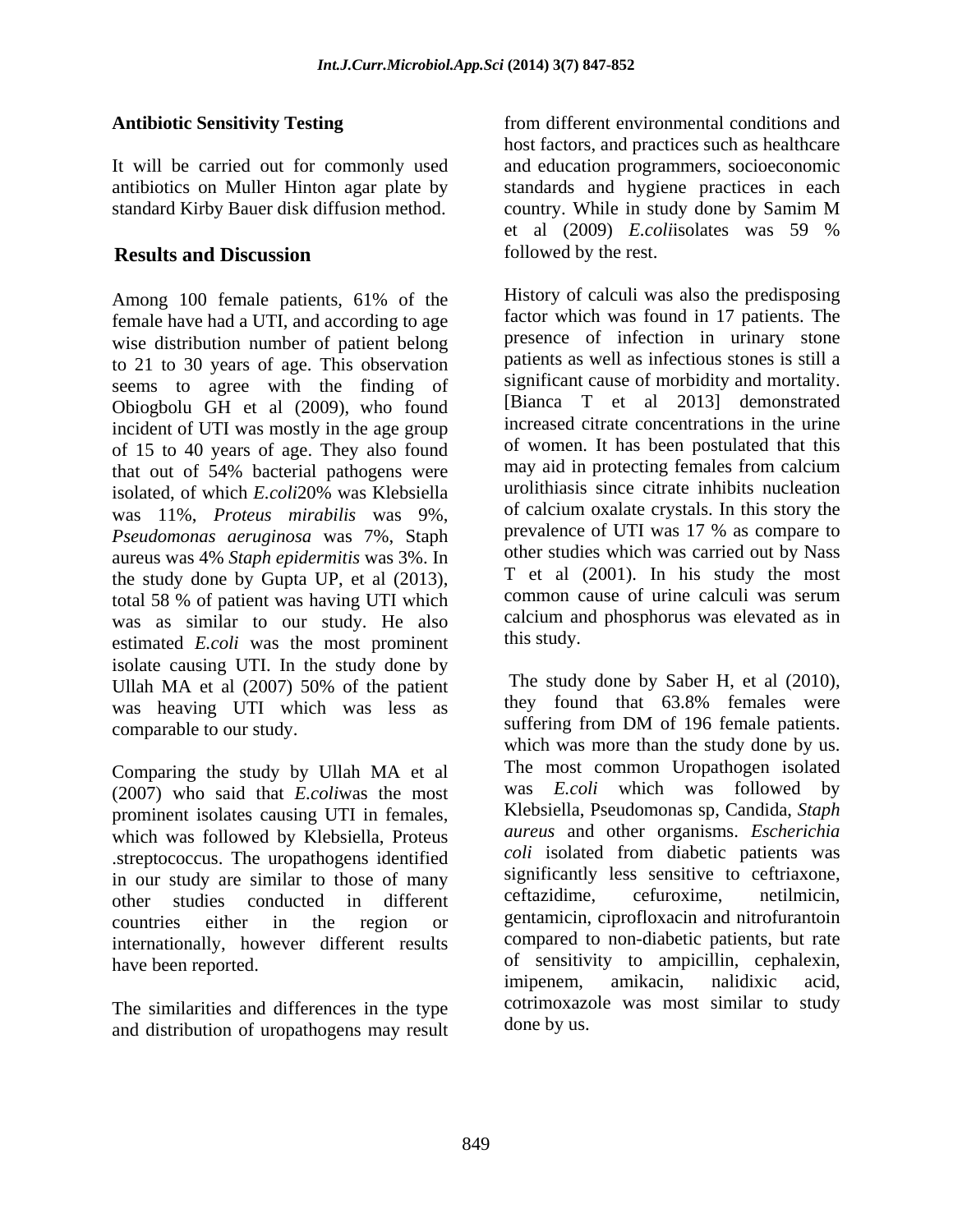standard Kirby Bauer disk diffusion method. country. While in study done by Samim M

Among 100 female patients, 61% of the female have had a UTI, and according to age wise distribution number of patient belong to 21 to 30 years of age. This observation seems to agree with the finding of Obiogbolu GH et al (2009), who found incident of UTI was mostly in the age group of 15 to 40 years of age. They also found that out of 54% bacterial pathogens were may aid in protecting females from calcium isolated, of which *E.coli*20% was Klebsiella was 11%, *Proteus mirabilis* was 9%, *Pseudomonas aeruginosa* was 7%, Staph aureus was 4% *Staph epidermitis* was 3%. In the study done by Gupta UP, et al  $(2013)$ , The et al  $(2001)$ . In his study the most total 58 % of patient was beying UTI which common cause of urine calculi was serum total 58 % of patient was having UTI which was as similar to our study. He also calcum and  $F \text{ } coli$  was the most prominent this study. estimated *E.coli* was the most prominent isolate causing UTI. In the study done by was heaving UTI which was less as they found that 63.8% females were comparable to our study. Suffering from DM of 196 female patients.

Comparing the study by Ullah MA et al The most common Uropathogen isolated<br>(2007) who said that E coliwas the most was E coli which was followed by (2007) who said that *E.coli*was the most prominent isolates causing UTI in females, which was followed by Klebsiella, Proteus .streptococcus. The uropathogens identified in our study are similar to those of many significantly less sensitive to certriaxone,<br>other studies conducted in different certazidime, certuroxime, netilmicin, other studies conducted in different internationally, however different results

The similarities and differences in the type and distribution of uropathogens may result

Antibiotic Sensitivity Testing **Antibiotic Sensitivity Testing Exercícle 10** from different environmental conditions and It will be carried out for commonly used and education programmers, socioeconomic antibiotics on Muller Hinton agar plate by standards and hygiene practices in each **Results and Discussion** followed by the rest. from different environmental conditions and host factors, and practices such as healthcare country. While in study done by Samim M et al (2009) *E.coli*isolates was 59 % followed by the rest.

> History of calculi was also the predisposing factor which was found in 17 patients. The presence of infection in urinary stone patients as well as infectious stones is still a significant cause of morbidity and mortality. [Bianca T et al 2013] demonstrated increased citrate concentrations in the urine of women. It has been postulated that this may aid in protecting females from calcium urolithiasis since citrate inhibits nucleation of calcium oxalate crystals. In this story the prevalence of UTI was 17 % as compare to other studies which was carried out by Nass T et al (2001). In his study the most common cause of urine calculi was serum calcium and phosphorus was elevated as in this study.

Ullah MA et al  $(2007)$  50% of the patient line study done by Saber H, et al  $(2010)$ , countries either in the region or gentamicin, ciprofloxacin and introfurantion have been reported. The sensitivity to ampicillin, cephalexin, The study done by Saber H, et al (2010), they found that 63.8% females were suffering from DM of 196 female patients. which was more than the study done by us. The most common Uropathogen isolated was *E.coli* which was followed Klebsiella, Pseudomonas sp, Candida, *Staph aureus* and other organisms. *Escherichia coli* isolated from diabetic patients was significantly less sensitive to ceftriaxone, ceftazidime, cefuroxime, netilmicin, gentamicin, ciprofloxacin and nitrofurantoin compared to non-diabetic patients, but rate imipenem, amikacin, nalidixic acid, cotrimoxazole was most similar to study done by us.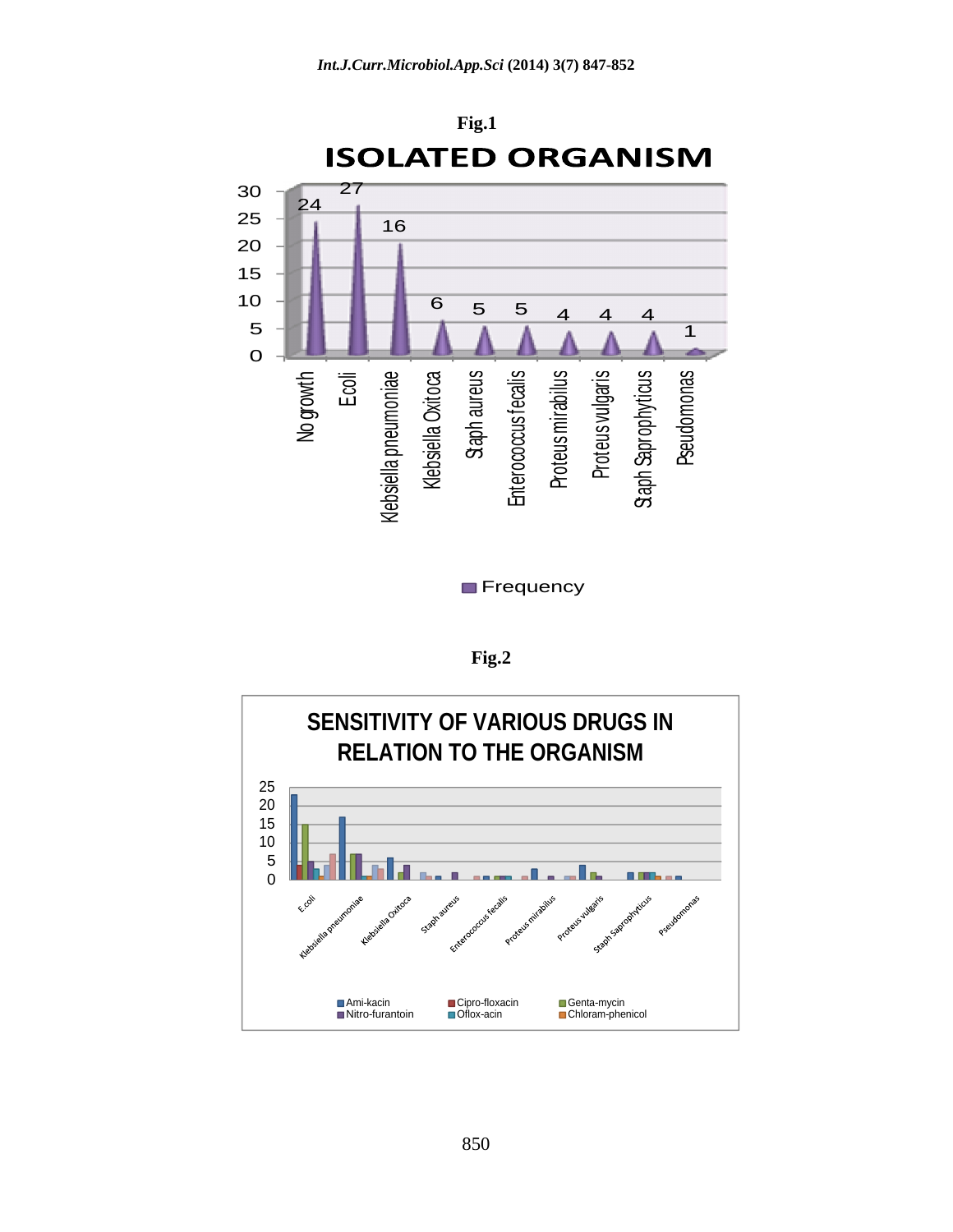

**Frequency** *CONTRESS EXECUTES* 

**Fig.2**

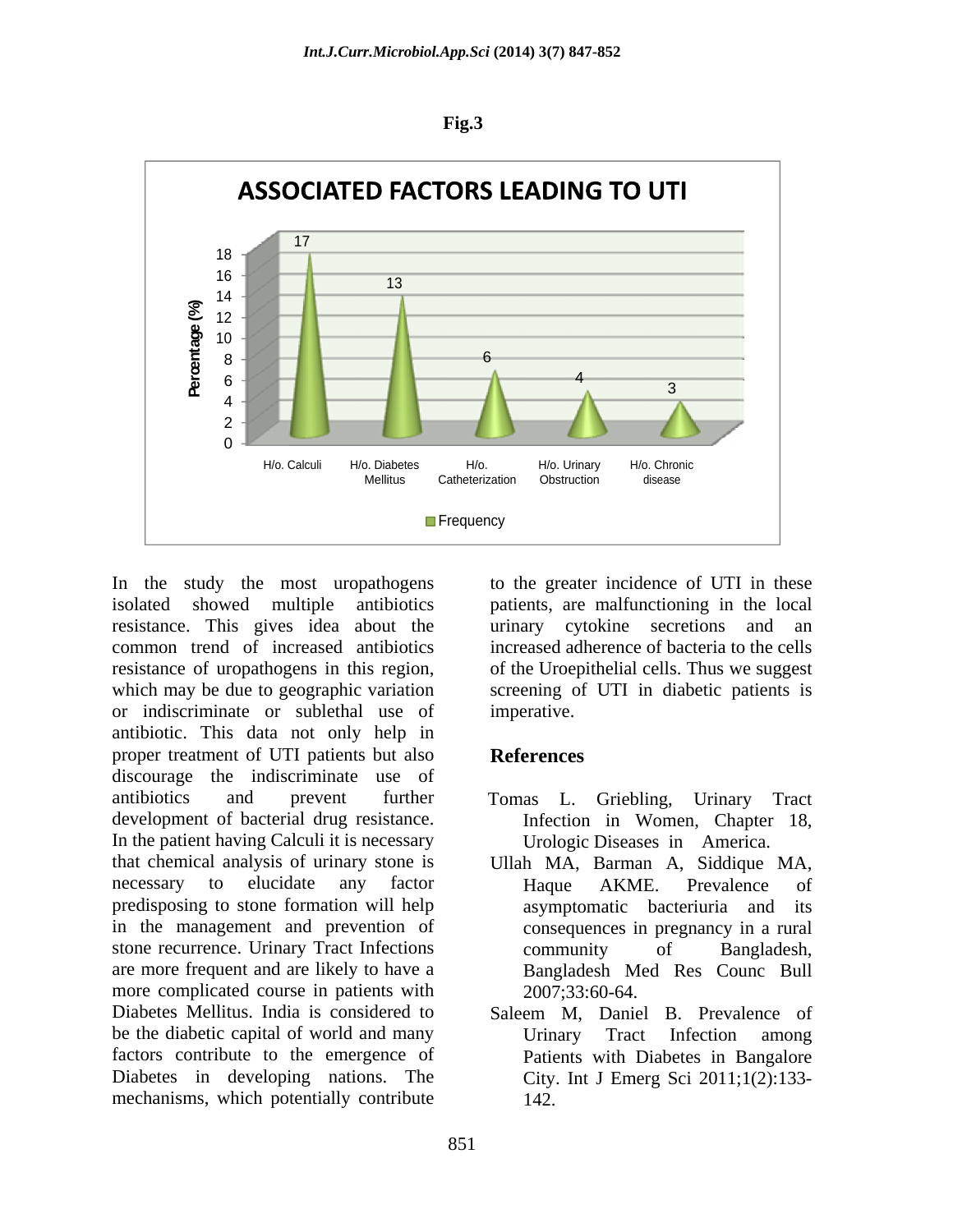



isolated showed multiple antibiotics patients, are malfunctioning in the local resistance. This gives idea about the urinary cytokine secretions and an common trend of increased antibiotics increased adherence of bacteria to the cells resistance of uropathogens in this region, of the Uroepithelial cells. Thus we suggest which may be due to geographic variation screening of UTI in diabetic patients is or indiscriminate or sublethal use of antibiotic. This data not only help in proper treatment of UTI patients but also **References** discourage the indiscriminate use of antibiotics and prevent further Tomas L. Griebling, Urinary Tract development of bacterial drug resistance. In the patient having Calculi it is necessary that chemical analysis of urinary stone is Ullah MA, Barman A, Siddique MA, necessary to elucidate any factor are Haque AKME. Prevalence of predisposing to stone formation will help in the management and prevention of stone recurrence. Urinary Tract Infections community of Bangladesh, are more frequent and are likely to have a more complicated course in patients with Diabetes Mellitus. India is considered to Saleem M. Daniel B. Prevalence of be the diabetic capital of world and many Urinary Tract Infection among factors contribute to the emergence of Diabetes in developing nations. The mechanisms, which potentially contribute

In the study the most uropathogens to the greater incidence of UTI in these urinary cytokine secretions and an imperative.

# **References**

- Tomas L. Griebling, Urinary Tract Infection in Women, Chapter 18, Urologic Diseases in America.
- Haque AKME. Prevalence of asymptomatic bacteriuria and its consequences in pregnancy in a rural community of Bangladesh, Bangladesh Med Res Counc Bull 2007;33:60-64.
- Saleem M, Daniel B. Prevalence of Urinary Tract Infection among Patients with Diabetes in Bangalore City. Int J Emerg Sci 2011;1(2):133- 142.